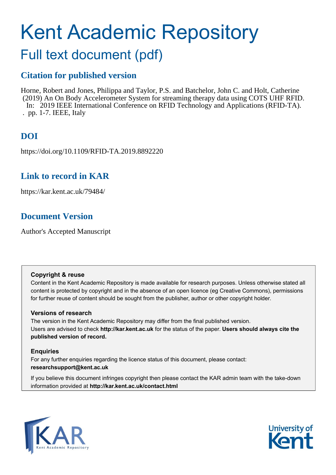# Kent Academic Repository

# Full text document (pdf)

### **Citation for published version**

Horne, Robert and Jones, Philippa and Taylor, P.S. and Batchelor, John C. and Holt, Catherine (2019) An On Body Accelerometer System for streaming therapy data using COTS UHF RFID. In: 2019 IEEE International Conference on RFID Technology and Applications (RFID-TA). . pp. 1-7. IEEE, Italy

# **DOI**

https://doi.org/10.1109/RFID-TA.2019.8892220

### **Link to record in KAR**

https://kar.kent.ac.uk/79484/

## **Document Version**

Author's Accepted Manuscript

#### **Copyright & reuse**

Content in the Kent Academic Repository is made available for research purposes. Unless otherwise stated all content is protected by copyright and in the absence of an open licence (eg Creative Commons), permissions for further reuse of content should be sought from the publisher, author or other copyright holder.

#### **Versions of research**

The version in the Kent Academic Repository may differ from the final published version. Users are advised to check **http://kar.kent.ac.uk** for the status of the paper. **Users should always cite the published version of record.**

#### **Enquiries**

For any further enquiries regarding the licence status of this document, please contact: **researchsupport@kent.ac.uk**

If you believe this document infringes copyright then please contact the KAR admin team with the take-down information provided at **http://kar.kent.ac.uk/contact.html**



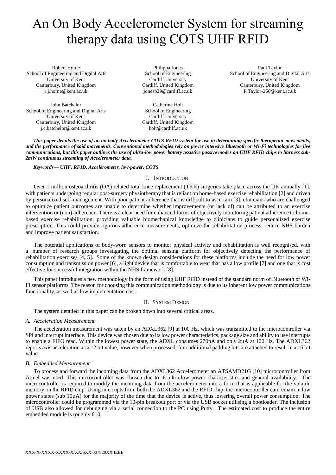# An On Body Accelerometer System for streaming therapy data using COTS UHF RFID

Robert Horne School of Engineering and Digital Arts University of Kent Canterbury, United Kingdom r.j.horne@kent.ac.uk

John Batchelor School of Engineering and Digital Arts University of Kent Canterbury, United Kingdom j.c.batchelor@kent.ac.uk

Philippa Jones School of Engineering Cardiff University Cardiff, United Kingdom jonesp29@cardiff.ac.uk

Catherine Holt School of Engineering Cardiff University Cardiff, United Kingdom holt@cardiff.ac.uk

Paul Taylor School of Engineering and Digital Arts University of Kent Canterbury, United Kingdom P.Taylor-250@kent.ac.uk

*This paper details the use of an on body Accelerometer COTS RFID system for use in determining specific therapeutic movements, and the performance of said movements. Conventional methodologies rely on power intensive Bluetooth or Wi-Fi technologies for live communications, but this paper outlines the use of ultra-low power battery assistive passive modes on UHF RFID chips to harness sub-2mW continuous streaming of Accelerometer data.*

#### *Keywords— UHF, RFID, Accelerometer, low-power, COTS*

#### I. INTRODUCTION

Over 1 million osteoarthritis (OA) related total knee replacement (TKR) surgeries take place across the UK annually [1], with patients undergoing regular post-surgery physiotherapy that is reliant on home-based exercise rehabilitation [2] and driven by personalized self-management. With poor patient adherence that is difficult to ascertain [3], clinicians who are challenged to optimize patient outcomes are unable to determine whether improvements (or lack of) can be attributed to an exercise intervention or (non) adherence. There is a clear need for enhanced forms of objectively monitoring patient adherence to homebased exercise rehabilitation, providing valuable biomechanical knowledge to clinicians to guide personalized exercise prescription. This could provide rigorous adherence measurements, optimize the rehabilitation process, reduce NHS burden and improve patient satisfaction.

The potential applications of body-worn sensors to monitor physical activity and rehabilitation is well recognised, with a number of research groups investigating the optimal sensing platform for objectively detecting the performance of rehabilitation exercises [4, 5]. Some of the known design considerations for these platforms include the need for low power consumption and transmission power [6], a light device that is comfortable to wear that has a low profile [7] and one that is cost effective for successful integration within the NHS framework [8].

This paper introduces a new methodology in the form of using UHF RFID instead of the standard norm of Bluetooth or Wi-Fi sensor platforms. The reason for choosing this communication methodology is due to its inherent low power communications functionality, as well as low implementation cost.

#### II. SYSTEM DESIGN

The system detailed in this paper can be broken down into several critical areas.

#### *A. Acceleration Measurement*

The acceleration measurement was taken by an ADXL362 [9] at 100 Hz, which was transmitted to the microcontroller via SPI and interrupt interface. This device was chosen due to its low power characteristics, package size and ability to use interrupts to enable a FIFO read. Within the lowest power state, the ADXL consumes 270nA and only 2µA at 100 Hz. The ADXL362 reports axis acceleration as a 12 bit value, however when processed, four additional padding bits are attached to result in a 16 bit value.

#### *B. Embedded Measurement*

To process and forward the incoming data from the ADXL362 Accelerometer an ATSAMD21G [10] microcontroller from Atmel was used. This microcontroller was chosen due to its ultra-low power characteristics and general availability. The microcontroller is required to modify the incoming data from the accelerometer into a form that is applicable for the volatile memory on the RFID chip. Using interrupts from both the ADXL362 and the RFID chip, the microcontroller can remain in low power states (sub 10µA) for the majority of the time that the device is active, thus lowering overall power consumption. The microcontroller could be programmed via the 10-pin breakout port or via the USB socket utilising a bootloader. The inclusion of USB also allowed for debugging via a serial connection to the PC using Putty. The estimated cost to produce the entire embedded module is roughly £10.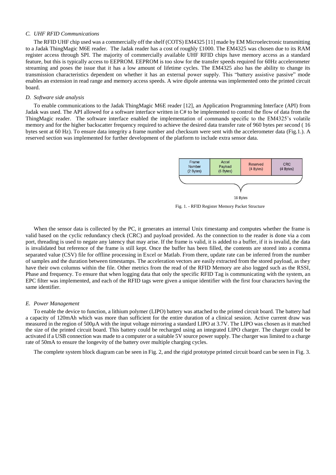#### *C. UHF RFID Communications*

The RFID UHF chip used was a commercially off the shelf (COTS) EM4325 [11] made by EM Microelectronic transmitting to a Jadak ThingMagic M6E reader. The Jadak reader has a cost of roughly £1000. The EM4325 was chosen due to its RAM register access through SPI. The majority of commercially available UHF RFID chips have memory access as a standard feature, but this is typically access to EEPROM. EEPROM is too slow for the transfer speeds required for 60Hz accelerometer streaming and poses the issue that it has a low amount of lifetime cycles. The EM4325 also has the ability to change its transmission characteristics dependent on whether it has an external power supply. This "battery assistive passive" mode enables an extension in read range and memory access speeds. A wire dipole antenna was implemented onto the printed circuit board.

#### *D. Software side analysis*

To enable communications to the Jadak ThingMagic M6E reader [12], an Application Programming Interface (API) from Jadak was used. The API allowed for a software interface written in C# to be implemented to control the flow of data from the ThingMagic reader. The software interface enabled the implementation of commands specific to the EM4325's volatile memory and for the higher backscatter frequency required to achieve the desired data transfer rate of 960 bytes per second ( 16 bytes sent at 60 Hz). To ensure data integrity a frame number and checksum were sent with the accelerometer data (Fig.1.). A reserved section was implemented for further development of the platform to include extra sensor data.



Fig. 1. - RFID Register Memory Packet Structure

When the sensor data is collected by the PC, it generates an internal Unix timestamp and computes whether the frame is valid based on the cyclic redundancy check (CRC) and payload provided. As the connection to the reader is done via a com port, threading is used to negate any latency that may arise. If the frame is valid, it is added to a buffer, if it is invalid, the data is invalidated but reference of the frame is still kept. Once the buffer has been filled, the contents are stored into a comma separated value (CSV) file for offline processing in Excel or Matlab. From there, update rate can be inferred from the number of samples and the duration between timestamps. The acceleration vectors are easily extracted from the stored payload, as they have their own columns within the file. Other metrics from the read of the RFID Memory are also logged such as the RSSI, Phase and frequency. To ensure that when logging data that only the specific RFID Tag is communicating with the system, an EPC filter was implemented, and each of the RFID tags were given a unique identifier with the first four characters having the same identifier.

#### *E. Power Management*

To enable the device to function, a lithium polymer (LIPO) battery was attached to the printed circuit board. The battery had a capacity of 120mAh which was more than sufficient for the entire duration of a clinical session. Active current draw was measured in the region of 500µA with the input voltage mirroring a standard LIPO at 3.7V. The LIPO was chosen as it matched the size of the printed circuit board. This battery could be recharged using an integrated LIPO charger. The charger could be activated if a USB connection was made to a computer or a suitable 5V source power supply. The charger was limited to a charge rate of 50mA to ensure the longevity of the battery over multiple charging cycles.

The complete system block diagram can be seen in Fig. 2, and the rigid prototype printed circuit board can be seen in Fig. 3.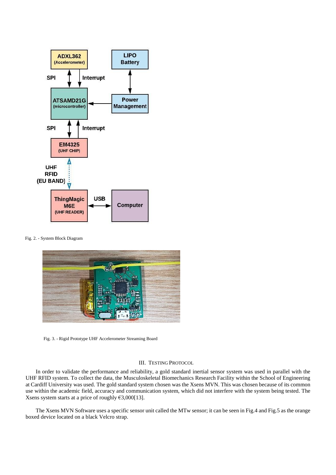

Fig. 2. - System Block Diagram



Fig. 3. - Rigid Prototype UHF Accelerometer Streaming Board

#### III. TESTING PROTOCOL

In order to validate the performance and reliability, a gold standard inertial sensor system was used in parallel with the UHF RFID system. To collect the data, the Musculoskeletal Biomechanics Research Facility within the School of Engineering at Cardiff University was used. The gold standard system chosen was the Xsens MVN. This was chosen because of its common use within the academic field, accuracy and communication system, which did not interfere with the system being tested. The Xsens system starts at a price of roughly €3,000[13].

The Xsens MVN Software uses a specific sensor unit called the MTw sensor; it can be seen in Fig.4 and Fig.5 as the orange boxed device located on a black Velcro strap.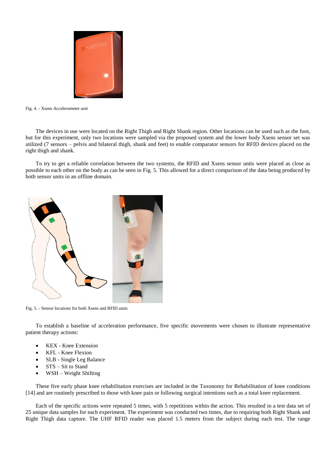

Fig. 4. - Xsens Accelerometer unit

The devices in use were located on the Right Thigh and Right Shank region. Other locations can be used such as the foot, but for this experiment, only two locations were sampled via the proposed system and the lower body Xsens sensor set was utilized (7 sensors – pelvis and bilateral thigh, shank and feet) to enable comparator sensors for RFID devices placed on the right thigh and shank.

To try to get a reliable correlation between the two systems, the RFID and Xsens sensor units were placed as close as possible to each other on the body as can be seen in Fig. 5. This allowed for a direct comparison of the data being produced by both sensor units in an offline domain.



Fig. 5. - Sensor locations for both Xsens and RFID units

To establish a baseline of acceleration performance, five specific movements were chosen to illustrate representative patient therapy actions:

- KEX Knee Extension
- KFL Knee Flexion
- SLB Single Leg Balance
- STS Sit to Stand
- WSH Weight Shifting

These five early phase knee rehabilitation exercises are included in the Taxonomy for Rehabilitation of knee conditions [14] and are routinely prescribed to those with knee pain or following surgical intentions such as a total knee replacement.

Each of the specific actions were repeated 5 times, with 5 repetitions within the action. This resulted in a test data set of 25 unique data samples for each experiment. The experiment was conducted two times, due to requiring both Right Shank and Right Thigh data capture. The UHF RFID reader was placed 1.5 meters from the subject during each test. The range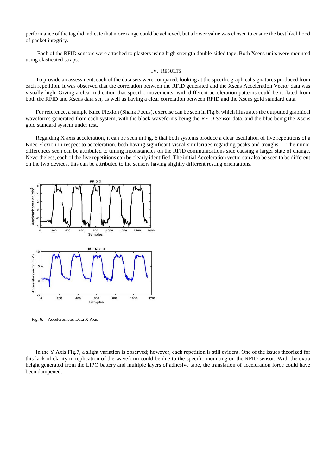performance of the tag did indicate that more range could be achieved, but a lower value was chosen to ensure the best likelihood of packet integrity.

Each of the RFID sensors were attached to plasters using high strength double-sided tape. Both Xsens units were mounted using elasticated straps.

#### IV. RESULTS

To provide an assessment, each of the data sets were compared, looking at the specific graphical signatures produced from each repetition. It was observed that the correlation between the RFID generated and the Xsens Acceleration Vector data was visually high. Giving a clear indication that specific movements, with different acceleration patterns could be isolated from both the RFID and Xsens data set, as well as having a clear correlation between RFID and the Xsens gold standard data.

For reference, a sample Knee Flexion (Shank Focus), exercise can be seen in Fig.6, which illustrates the outputted graphical waveforms generated from each system, with the black waveforms being the RFID Sensor data, and the blue being the Xsens gold standard system under test.

Regarding X axis acceleration, it can be seen in Fig. 6 that both systems produce a clear oscillation of five repetitions of a Knee Flexion in respect to acceleration, both having significant visual similarities regarding peaks and troughs. The minor differences seen can be attributed to timing inconstancies on the RFID communications side causing a larger state of change. Nevertheless, each of the five repetitions can be clearly identified. The initial Acceleration vector can also be seen to be different on the two devices, this can be attributed to the sensors having slightly different resting orientations.



Fig. 6. – Accelerometer Data X Axis

In the Y Axis Fig.7, a slight variation is observed; however, each repetition is still evident. One of the issues theorized for this lack of clarity in replication of the waveform could be due to the specific mounting on the RFID sensor. With the extra height generated from the LIPO battery and multiple layers of adhesive tape, the translation of acceleration force could have been dampened.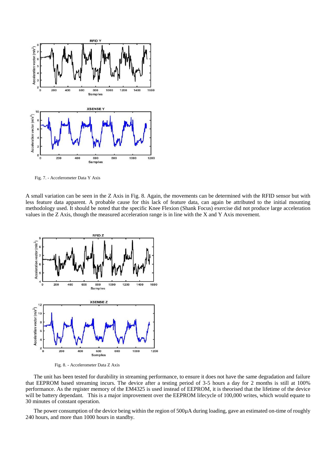

Fig. 7. - Accelerometer Data Y Axis

A small variation can be seen in the Z Axis in Fig. 8. Again, the movements can be determined with the RFID sensor but with less feature data apparent. A probable cause for this lack of feature data, can again be attributed to the initial mounting methodology used. It should be noted that the specific Knee Flexion (Shank Focus) exercise did not produce large acceleration values in the Z Axis, though the measured acceleration range is in line with the X and Y Axis movement.



Fig. 8. - Accelerometer Data Z Axis

The unit has been tested for durability in streaming performance, to ensure it does not have the same degradation and failure that EEPROM based streaming incurs. The device after a testing period of 3-5 hours a day for 2 months is still at 100% performance. As the register memory of the EM4325 is used instead of EEPROM, it is theorised that the lifetime of the device will be battery dependant. This is a major improvement over the EEPROM lifecycle of 100,000 writes, which would equate to 30 minutes of constant operation.

The power consumption of the device being within the region of 500µA during loading, gave an estimated on-time of roughly 240 hours, and more than 1000 hours in standby.